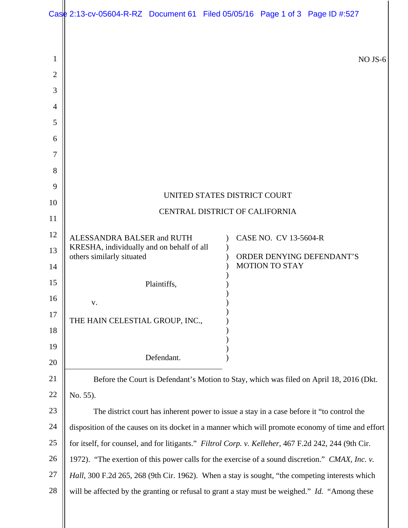|                                    | Case 2:13-cv-05604-R-RZ Document 61 Filed 05/05/16 Page 1 of 3 Page ID #:527                        |                           |                       |  |         |  |
|------------------------------------|-----------------------------------------------------------------------------------------------------|---------------------------|-----------------------|--|---------|--|
| 1<br>$\overline{2}$<br>3<br>4<br>5 |                                                                                                     |                           |                       |  | NO JS-6 |  |
| 6                                  |                                                                                                     |                           |                       |  |         |  |
| 7                                  |                                                                                                     |                           |                       |  |         |  |
| 8                                  |                                                                                                     |                           |                       |  |         |  |
| 9<br>10                            | UNITED STATES DISTRICT COURT                                                                        |                           |                       |  |         |  |
| 11                                 | CENTRAL DISTRICT OF CALIFORNIA                                                                      |                           |                       |  |         |  |
| 12                                 | ALESSANDRA BALSER and RUTH                                                                          |                           | CASE NO. CV 13-5604-R |  |         |  |
| 13                                 | KRESHA, individually and on behalf of all<br>others similarly situated                              | ORDER DENYING DEFENDANT'S |                       |  |         |  |
| 14                                 |                                                                                                     |                           | <b>MOTION TO STAY</b> |  |         |  |
| 15                                 | Plaintiffs,                                                                                         |                           |                       |  |         |  |
| 16<br>17                           | V.                                                                                                  |                           |                       |  |         |  |
| 18                                 | THE HAIN CELESTIAL GROUP, INC.,                                                                     |                           |                       |  |         |  |
| 19                                 |                                                                                                     |                           |                       |  |         |  |
| 20                                 | Defendant.                                                                                          |                           |                       |  |         |  |
| 21                                 | Before the Court is Defendant's Motion to Stay, which was filed on April 18, 2016 (Dkt.             |                           |                       |  |         |  |
| 22                                 | No. 55).                                                                                            |                           |                       |  |         |  |
| 23                                 | The district court has inherent power to issue a stay in a case before it "to control the           |                           |                       |  |         |  |
| 24                                 | disposition of the causes on its docket in a manner which will promote economy of time and effort   |                           |                       |  |         |  |
| 25                                 | for itself, for counsel, and for litigants." Filtrol Corp. v. Kelleher, 467 F.2d 242, 244 (9th Cir. |                           |                       |  |         |  |
| 26                                 | 1972). "The exertion of this power calls for the exercise of a sound discretion." CMAX, Inc. v.     |                           |                       |  |         |  |
| 27                                 | Hall, 300 F.2d 265, 268 (9th Cir. 1962). When a stay is sought, "the competing interests which      |                           |                       |  |         |  |
| 28                                 | will be affected by the granting or refusal to grant a stay must be weighed." Id. "Among these      |                           |                       |  |         |  |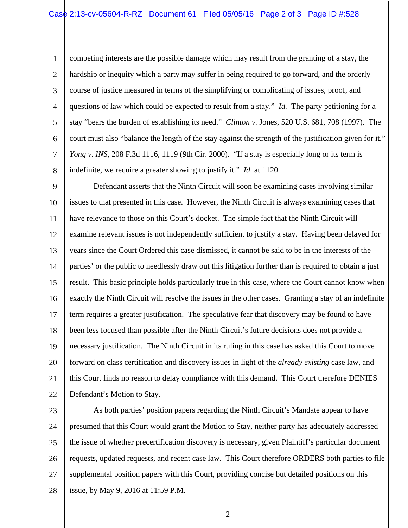1 2 3 4 5 6 7 8 competing interests are the possible damage which may result from the granting of a stay, the hardship or inequity which a party may suffer in being required to go forward, and the orderly course of justice measured in terms of the simplifying or complicating of issues, proof, and questions of law which could be expected to result from a stay." *Id.* The party petitioning for a stay "bears the burden of establishing its need." *Clinton v.* Jones, 520 U.S. 681, 708 (1997). The court must also "balance the length of the stay against the strength of the justification given for it." *Yong v. INS*, 208 F.3d 1116, 1119 (9th Cir. 2000). "If a stay is especially long or its term is indefinite, we require a greater showing to justify it." *Id.* at 1120.

9 10 11 12 13 14 15 16 17 18 19 20 21 22 Defendant asserts that the Ninth Circuit will soon be examining cases involving similar issues to that presented in this case. However, the Ninth Circuit is always examining cases that have relevance to those on this Court's docket. The simple fact that the Ninth Circuit will examine relevant issues is not independently sufficient to justify a stay. Having been delayed for years since the Court Ordered this case dismissed, it cannot be said to be in the interests of the parties' or the public to needlessly draw out this litigation further than is required to obtain a just result. This basic principle holds particularly true in this case, where the Court cannot know when exactly the Ninth Circuit will resolve the issues in the other cases. Granting a stay of an indefinite term requires a greater justification. The speculative fear that discovery may be found to have been less focused than possible after the Ninth Circuit's future decisions does not provide a necessary justification. The Ninth Circuit in its ruling in this case has asked this Court to move forward on class certification and discovery issues in light of the *already existing* case law, and this Court finds no reason to delay compliance with this demand. This Court therefore DENIES Defendant's Motion to Stay.

23 24 25 26 27 28 As both parties' position papers regarding the Ninth Circuit's Mandate appear to have presumed that this Court would grant the Motion to Stay, neither party has adequately addressed the issue of whether precertification discovery is necessary, given Plaintiff's particular document requests, updated requests, and recent case law. This Court therefore ORDERS both parties to file supplemental position papers with this Court, providing concise but detailed positions on this issue, by May 9, 2016 at 11:59 P.M.